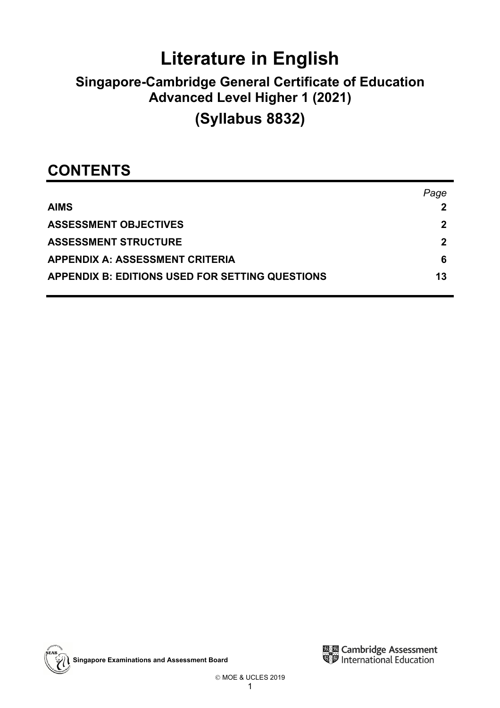# **Literature in English**

## **Singapore-Cambridge General Certificate of Education Advanced Level Higher 1 (2021)**

## **(Syllabus 8832)**

### **CONTENTS**

|                                                        | Page |
|--------------------------------------------------------|------|
| <b>AIMS</b>                                            |      |
| <b>ASSESSMENT OBJECTIVES</b>                           | 2    |
| <b>ASSESSMENT STRUCTURE</b>                            | 2    |
| <b>APPENDIX A: ASSESSMENT CRITERIA</b>                 | 6    |
| <b>APPENDIX B: EDITIONS USED FOR SETTING QUESTIONS</b> | 13   |



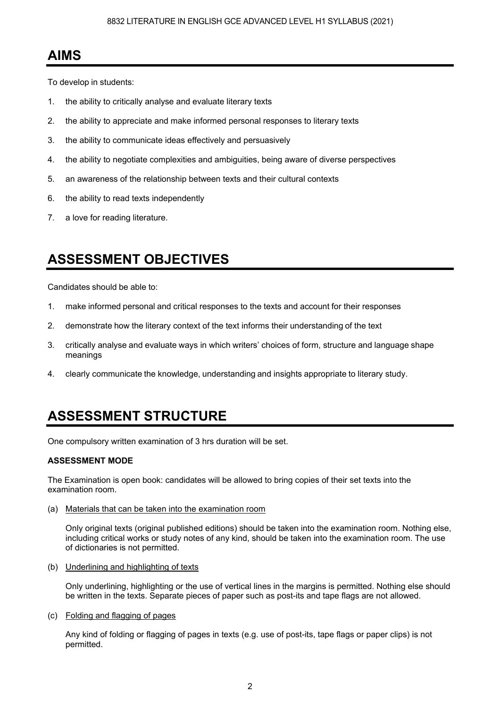### **AIMS**

To develop in students:

- 1. the ability to critically analyse and evaluate literary texts
- 2. the ability to appreciate and make informed personal responses to literary texts
- 3. the ability to communicate ideas effectively and persuasively
- 4. the ability to negotiate complexities and ambiguities, being aware of diverse perspectives
- 5. an awareness of the relationship between texts and their cultural contexts
- 6. the ability to read texts independently
- 7. a love for reading literature.

### **ASSESSMENT OBJECTIVES**

Candidates should be able to:

- 1. make informed personal and critical responses to the texts and account for their responses
- 2. demonstrate how the literary context of the text informs their understanding of the text
- 3. critically analyse and evaluate ways in which writers' choices of form, structure and language shape meanings
- 4. clearly communicate the knowledge, understanding and insights appropriate to literary study.

## **ASSESSMENT STRUCTURE**

One compulsory written examination of 3 hrs duration will be set.

#### **ASSESSMENT MODE**

The Examination is open book: candidates will be allowed to bring copies of their set texts into the examination room.

(a) Materials that can be taken into the examination room

Only original texts (original published editions) should be taken into the examination room. Nothing else, including critical works or study notes of any kind, should be taken into the examination room. The use of dictionaries is not permitted.

(b) Underlining and highlighting of texts

Only underlining, highlighting or the use of vertical lines in the margins is permitted. Nothing else should be written in the texts. Separate pieces of paper such as post-its and tape flags are not allowed.

(c) Folding and flagging of pages

Any kind of folding or flagging of pages in texts (e.g. use of post-its, tape flags or paper clips) is not permitted.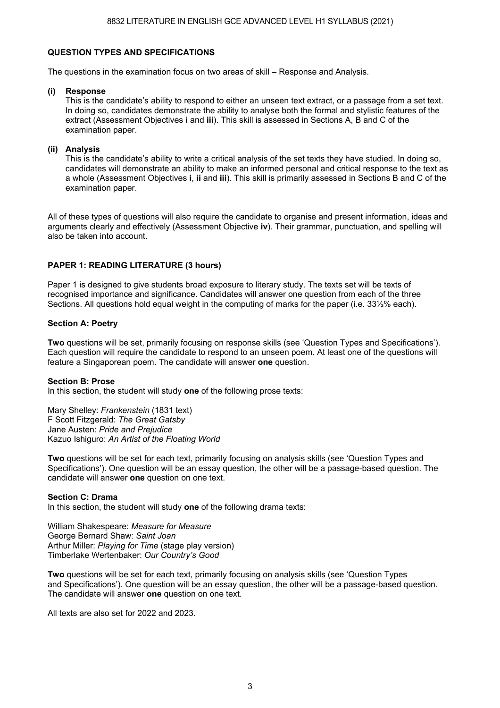#### **QUESTION TYPES AND SPECIFICATIONS**

The questions in the examination focus on two areas of skill – Response and Analysis.

#### **(i) Response**

This is the candidate's ability to respond to either an unseen text extract, or a passage from a set text. In doing so, candidates demonstrate the ability to analyse both the formal and stylistic features of the extract (Assessment Objectives **i** and **iii**). This skill is assessed in Sections A, B and C of the examination paper.

#### **(ii) Analysis**

This is the candidate's ability to write a critical analysis of the set texts they have studied. In doing so, candidates will demonstrate an ability to make an informed personal and critical response to the text as a whole (Assessment Objectives **i**, **ii** and **iii**). This skill is primarily assessed in Sections B and C of the examination paper.

All of these types of questions will also require the candidate to organise and present information, ideas and arguments clearly and effectively (Assessment Objective **iv**). Their grammar, punctuation, and spelling will also be taken into account.

#### **PAPER 1: READING LITERATURE (3 hours)**

Paper 1 is designed to give students broad exposure to literary study. The texts set will be texts of recognised importance and significance. Candidates will answer one question from each of the three Sections. All questions hold equal weight in the computing of marks for the paper (i.e. 33⅓% each).

#### **Section A: Poetry**

**Two** questions will be set, primarily focusing on response skills (see 'Question Types and Specifications'). Each question will require the candidate to respond to an unseen poem. At least one of the questions will feature a Singaporean poem. The candidate will answer **one** question.

#### **Section B: Prose**

In this section, the student will study **one** of the following prose texts:

Mary Shelley: *Frankenstein* (1831 text) F Scott Fitzgerald: *The Great Gatsby* Jane Austen: *Pride and Prejudice*  Kazuo Ishiguro: *An Artist of the Floating World* 

**Two** questions will be set for each text, primarily focusing on analysis skills (see 'Question Types and Specifications'). One question will be an essay question, the other will be a passage-based question. The candidate will answer **one** question on one text.

#### **Section C: Drama**

In this section, the student will study **one** of the following drama texts:

William Shakespeare: *Measure for Measure* George Bernard Shaw: *Saint Joan* Arthur Miller: *Playing for Time* (stage play version) Timberlake Wertenbaker: *Our Country's Good*

**Two** questions will be set for each text, primarily focusing on analysis skills (see 'Question Types and Specifications'). One question will be an essay question, the other will be a passage-based question. The candidate will answer **one** question on one text.

All texts are also set for 2022 and 2023.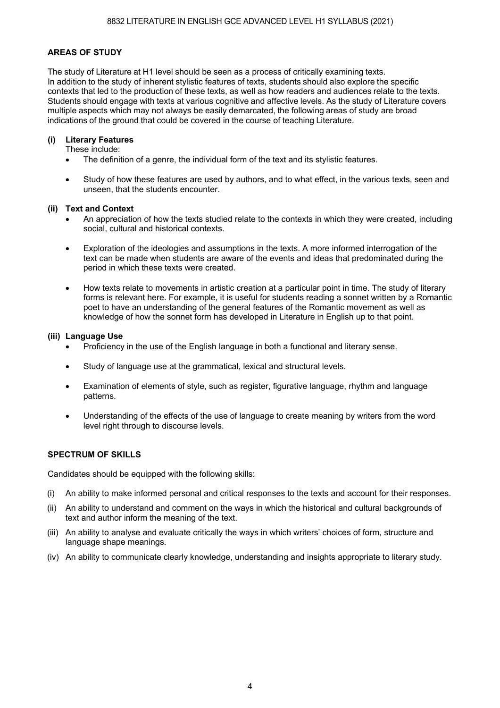### **AREAS OF STUDY**

The study of Literature at H1 level should be seen as a process of critically examining texts. In addition to the study of inherent stylistic features of texts, students should also explore the specific contexts that led to the production of these texts, as well as how readers and audiences relate to the texts. Students should engage with texts at various cognitive and affective levels. As the study of Literature covers multiple aspects which may not always be easily demarcated, the following areas of study are broad indications of the ground that could be covered in the course of teaching Literature.

#### **(i) Literary Features**

These include:

- The definition of a genre, the individual form of the text and its stylistic features.
- Study of how these features are used by authors, and to what effect, in the various texts, seen and unseen, that the students encounter.

#### **(ii) Text and Context**

- An appreciation of how the texts studied relate to the contexts in which they were created, including social, cultural and historical contexts.
- Exploration of the ideologies and assumptions in the texts. A more informed interrogation of the text can be made when students are aware of the events and ideas that predominated during the period in which these texts were created.
- How texts relate to movements in artistic creation at a particular point in time. The study of literary forms is relevant here. For example, it is useful for students reading a sonnet written by a Romantic poet to have an understanding of the general features of the Romantic movement as well as knowledge of how the sonnet form has developed in Literature in English up to that point.

#### **(iii) Language Use**

- Proficiency in the use of the English language in both a functional and literary sense.
- Study of language use at the grammatical, lexical and structural levels.
- Examination of elements of style, such as register, figurative language, rhythm and language patterns.
- Understanding of the effects of the use of language to create meaning by writers from the word level right through to discourse levels.

#### **SPECTRUM OF SKILLS**

Candidates should be equipped with the following skills:

- (i) An ability to make informed personal and critical responses to the texts and account for their responses.
- (ii) An ability to understand and comment on the ways in which the historical and cultural backgrounds of text and author inform the meaning of the text.
- (iii) An ability to analyse and evaluate critically the ways in which writers' choices of form, structure and language shape meanings.
- (iv) An ability to communicate clearly knowledge, understanding and insights appropriate to literary study.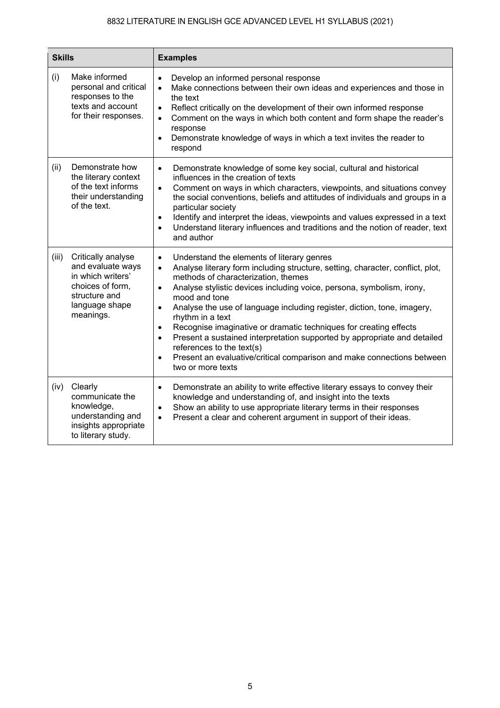| <b>Skills</b> |                                                                                                                                  | <b>Examples</b>                                                                                                                                                                                                                                                                                                                                                                                                                                                                                                                                                                                                                                                                                                                      |  |  |
|---------------|----------------------------------------------------------------------------------------------------------------------------------|--------------------------------------------------------------------------------------------------------------------------------------------------------------------------------------------------------------------------------------------------------------------------------------------------------------------------------------------------------------------------------------------------------------------------------------------------------------------------------------------------------------------------------------------------------------------------------------------------------------------------------------------------------------------------------------------------------------------------------------|--|--|
| (i)           | Make informed<br>personal and critical<br>responses to the<br>texts and account<br>for their responses.                          | Develop an informed personal response<br>$\bullet$<br>Make connections between their own ideas and experiences and those in<br>$\bullet$<br>the text<br>Reflect critically on the development of their own informed response<br>$\bullet$<br>Comment on the ways in which both content and form shape the reader's<br>$\bullet$<br>response<br>Demonstrate knowledge of ways in which a text invites the reader to<br>respond                                                                                                                                                                                                                                                                                                        |  |  |
| (ii)          | Demonstrate how<br>the literary context<br>of the text informs<br>their understanding<br>of the text.                            | Demonstrate knowledge of some key social, cultural and historical<br>$\bullet$<br>influences in the creation of texts<br>Comment on ways in which characters, viewpoints, and situations convey<br>$\bullet$<br>the social conventions, beliefs and attitudes of individuals and groups in a<br>particular society<br>Identify and interpret the ideas, viewpoints and values expressed in a text<br>$\bullet$<br>Understand literary influences and traditions and the notion of reader, text<br>$\bullet$<br>and author                                                                                                                                                                                                            |  |  |
| (iii)         | Critically analyse<br>and evaluate ways<br>in which writers'<br>choices of form.<br>structure and<br>language shape<br>meanings. | Understand the elements of literary genres<br>$\bullet$<br>Analyse literary form including structure, setting, character, conflict, plot,<br>$\bullet$<br>methods of characterization, themes<br>Analyse stylistic devices including voice, persona, symbolism, irony,<br>$\bullet$<br>mood and tone<br>Analyse the use of language including register, diction, tone, imagery,<br>$\bullet$<br>rhythm in a text<br>Recognise imaginative or dramatic techniques for creating effects<br>$\bullet$<br>Present a sustained interpretation supported by appropriate and detailed<br>$\bullet$<br>references to the text(s)<br>Present an evaluative/critical comparison and make connections between<br>$\bullet$<br>two or more texts |  |  |
| (iv)          | Clearly<br>communicate the<br>knowledge,<br>understanding and<br>insights appropriate<br>to literary study.                      | Demonstrate an ability to write effective literary essays to convey their<br>$\bullet$<br>knowledge and understanding of, and insight into the texts<br>Show an ability to use appropriate literary terms in their responses<br>$\bullet$<br>Present a clear and coherent argument in support of their ideas.<br>$\bullet$                                                                                                                                                                                                                                                                                                                                                                                                           |  |  |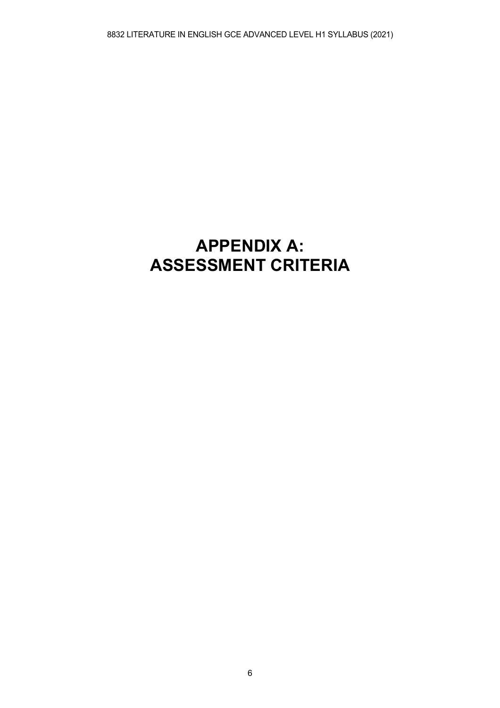## **APPENDIX A: ASSESSMENT CRITERIA**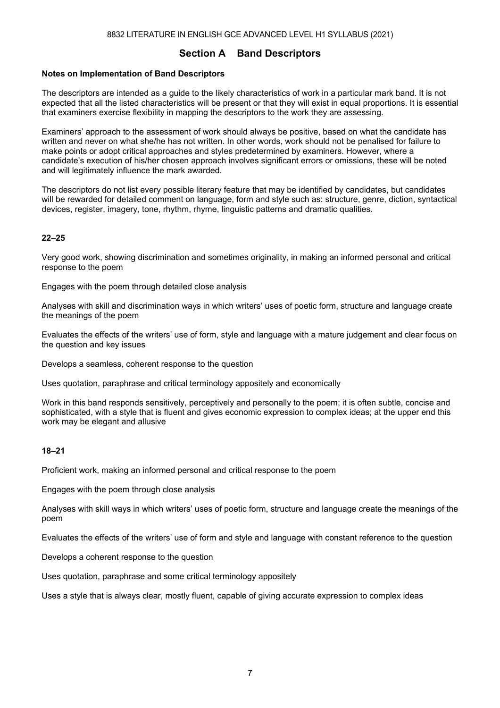### **Section A Band Descriptors**

#### **Notes on Implementation of Band Descriptors**

The descriptors are intended as a guide to the likely characteristics of work in a particular mark band. It is not expected that all the listed characteristics will be present or that they will exist in equal proportions. It is essential that examiners exercise flexibility in mapping the descriptors to the work they are assessing.

Examiners' approach to the assessment of work should always be positive, based on what the candidate has written and never on what she/he has not written. In other words, work should not be penalised for failure to make points or adopt critical approaches and styles predetermined by examiners. However, where a candidate's execution of his/her chosen approach involves significant errors or omissions, these will be noted and will legitimately influence the mark awarded.

The descriptors do not list every possible literary feature that may be identified by candidates, but candidates will be rewarded for detailed comment on language, form and style such as: structure, genre, diction, syntactical devices, register, imagery, tone, rhythm, rhyme, linguistic patterns and dramatic qualities.

#### **22–25**

Very good work, showing discrimination and sometimes originality, in making an informed personal and critical response to the poem

Engages with the poem through detailed close analysis

Analyses with skill and discrimination ways in which writers' uses of poetic form, structure and language create the meanings of the poem

Evaluates the effects of the writers' use of form, style and language with a mature judgement and clear focus on the question and key issues

Develops a seamless, coherent response to the question

Uses quotation, paraphrase and critical terminology appositely and economically

Work in this band responds sensitively, perceptively and personally to the poem; it is often subtle, concise and sophisticated, with a style that is fluent and gives economic expression to complex ideas; at the upper end this work may be elegant and allusive

#### **18–21**

Proficient work, making an informed personal and critical response to the poem

Engages with the poem through close analysis

Analyses with skill ways in which writers' uses of poetic form, structure and language create the meanings of the poem

Evaluates the effects of the writers' use of form and style and language with constant reference to the question

Develops a coherent response to the question

Uses quotation, paraphrase and some critical terminology appositely

Uses a style that is always clear, mostly fluent, capable of giving accurate expression to complex ideas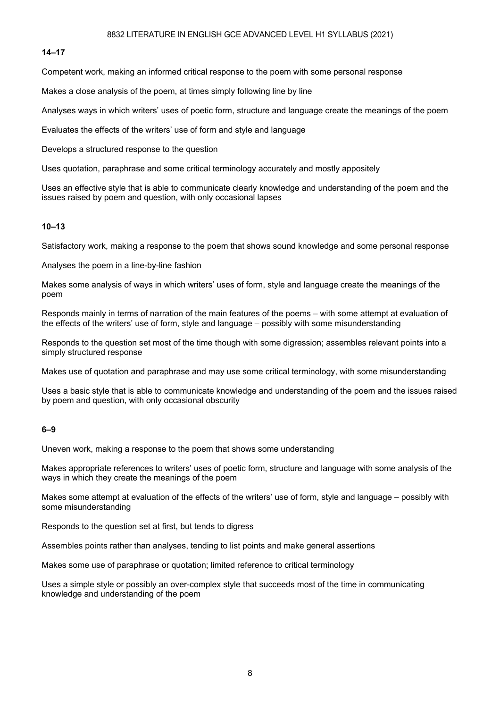#### **14–17**

Competent work, making an informed critical response to the poem with some personal response

Makes a close analysis of the poem, at times simply following line by line

Analyses ways in which writers' uses of poetic form, structure and language create the meanings of the poem

Evaluates the effects of the writers' use of form and style and language

Develops a structured response to the question

Uses quotation, paraphrase and some critical terminology accurately and mostly appositely

Uses an effective style that is able to communicate clearly knowledge and understanding of the poem and the issues raised by poem and question, with only occasional lapses

#### **10–13**

Satisfactory work, making a response to the poem that shows sound knowledge and some personal response

Analyses the poem in a line-by-line fashion

Makes some analysis of ways in which writers' uses of form, style and language create the meanings of the poem

Responds mainly in terms of narration of the main features of the poems – with some attempt at evaluation of the effects of the writers' use of form, style and language – possibly with some misunderstanding

Responds to the question set most of the time though with some digression; assembles relevant points into a simply structured response

Makes use of quotation and paraphrase and may use some critical terminology, with some misunderstanding

Uses a basic style that is able to communicate knowledge and understanding of the poem and the issues raised by poem and question, with only occasional obscurity

#### **6–9**

Uneven work, making a response to the poem that shows some understanding

Makes appropriate references to writers' uses of poetic form, structure and language with some analysis of the ways in which they create the meanings of the poem

Makes some attempt at evaluation of the effects of the writers' use of form, style and language – possibly with some misunderstanding

Responds to the question set at first, but tends to digress

Assembles points rather than analyses, tending to list points and make general assertions

Makes some use of paraphrase or quotation; limited reference to critical terminology

Uses a simple style or possibly an over-complex style that succeeds most of the time in communicating knowledge and understanding of the poem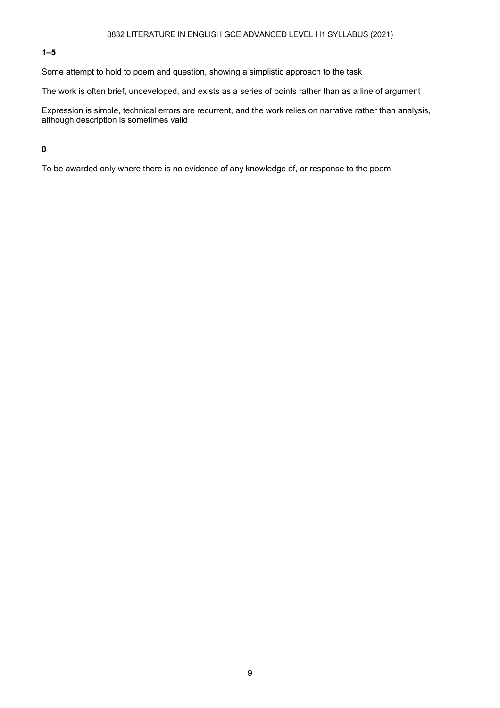#### **1–5**

Some attempt to hold to poem and question, showing a simplistic approach to the task

The work is often brief, undeveloped, and exists as a series of points rather than as a line of argument

Expression is simple, technical errors are recurrent, and the work relies on narrative rather than analysis, although description is sometimes valid

### **0**

To be awarded only where there is no evidence of any knowledge of, or response to the poem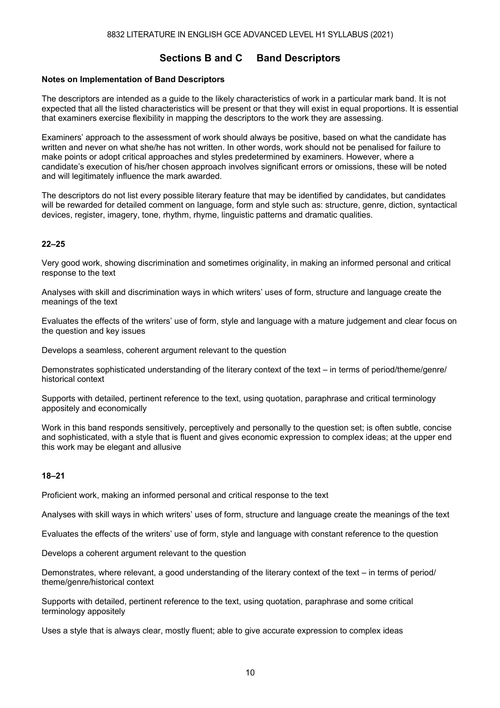### **Sections B and C Band Descriptors**

#### **Notes on Implementation of Band Descriptors**

The descriptors are intended as a guide to the likely characteristics of work in a particular mark band. It is not expected that all the listed characteristics will be present or that they will exist in equal proportions. It is essential that examiners exercise flexibility in mapping the descriptors to the work they are assessing.

Examiners' approach to the assessment of work should always be positive, based on what the candidate has written and never on what she/he has not written. In other words, work should not be penalised for failure to make points or adopt critical approaches and styles predetermined by examiners. However, where a candidate's execution of his/her chosen approach involves significant errors or omissions, these will be noted and will legitimately influence the mark awarded.

The descriptors do not list every possible literary feature that may be identified by candidates, but candidates will be rewarded for detailed comment on language, form and style such as: structure, genre, diction, syntactical devices, register, imagery, tone, rhythm, rhyme, linguistic patterns and dramatic qualities.

#### **22–25**

Very good work, showing discrimination and sometimes originality, in making an informed personal and critical response to the text

Analyses with skill and discrimination ways in which writers' uses of form, structure and language create the meanings of the text

Evaluates the effects of the writers' use of form, style and language with a mature judgement and clear focus on the question and key issues

Develops a seamless, coherent argument relevant to the question

Demonstrates sophisticated understanding of the literary context of the text – in terms of period/theme/genre/ historical context

Supports with detailed, pertinent reference to the text, using quotation, paraphrase and critical terminology appositely and economically

Work in this band responds sensitively, perceptively and personally to the question set; is often subtle, concise and sophisticated, with a style that is fluent and gives economic expression to complex ideas; at the upper end this work may be elegant and allusive

#### **18–21**

Proficient work, making an informed personal and critical response to the text

Analyses with skill ways in which writers' uses of form, structure and language create the meanings of the text

Evaluates the effects of the writers' use of form, style and language with constant reference to the question

Develops a coherent argument relevant to the question

Demonstrates, where relevant, a good understanding of the literary context of the text – in terms of period/ theme/genre/historical context

Supports with detailed, pertinent reference to the text, using quotation, paraphrase and some critical terminology appositely

Uses a style that is always clear, mostly fluent; able to give accurate expression to complex ideas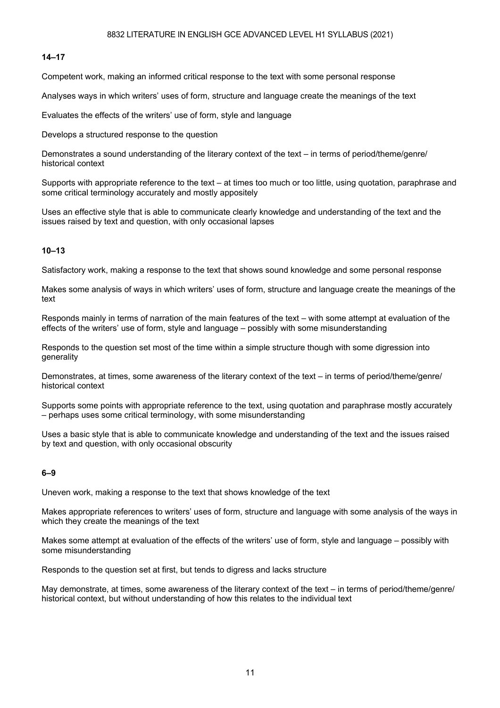#### **14–17**

Competent work, making an informed critical response to the text with some personal response

Analyses ways in which writers' uses of form, structure and language create the meanings of the text

Evaluates the effects of the writers' use of form, style and language

Develops a structured response to the question

Demonstrates a sound understanding of the literary context of the text – in terms of period/theme/genre/ historical context

Supports with appropriate reference to the text – at times too much or too little, using quotation, paraphrase and some critical terminology accurately and mostly appositely

Uses an effective style that is able to communicate clearly knowledge and understanding of the text and the issues raised by text and question, with only occasional lapses

#### **10–13**

Satisfactory work, making a response to the text that shows sound knowledge and some personal response

Makes some analysis of ways in which writers' uses of form, structure and language create the meanings of the text

Responds mainly in terms of narration of the main features of the text – with some attempt at evaluation of the effects of the writers' use of form, style and language – possibly with some misunderstanding

Responds to the question set most of the time within a simple structure though with some digression into generality

Demonstrates, at times, some awareness of the literary context of the text – in terms of period/theme/genre/ historical context

Supports some points with appropriate reference to the text, using quotation and paraphrase mostly accurately – perhaps uses some critical terminology, with some misunderstanding

Uses a basic style that is able to communicate knowledge and understanding of the text and the issues raised by text and question, with only occasional obscurity

#### **6–9**

Uneven work, making a response to the text that shows knowledge of the text

Makes appropriate references to writers' uses of form, structure and language with some analysis of the ways in which they create the meanings of the text

Makes some attempt at evaluation of the effects of the writers' use of form, style and language – possibly with some misunderstanding

Responds to the question set at first, but tends to digress and lacks structure

May demonstrate, at times, some awareness of the literary context of the text – in terms of period/theme/genre/ historical context, but without understanding of how this relates to the individual text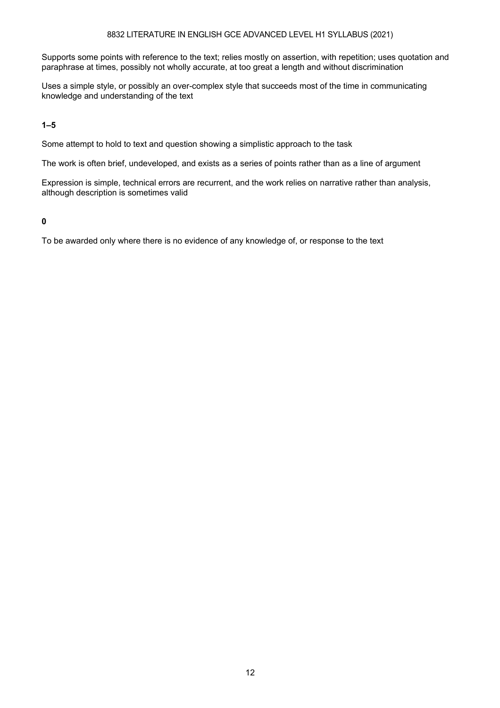Supports some points with reference to the text; relies mostly on assertion, with repetition; uses quotation and paraphrase at times, possibly not wholly accurate, at too great a length and without discrimination

Uses a simple style, or possibly an over-complex style that succeeds most of the time in communicating knowledge and understanding of the text

**1–5** 

Some attempt to hold to text and question showing a simplistic approach to the task

The work is often brief, undeveloped, and exists as a series of points rather than as a line of argument

Expression is simple, technical errors are recurrent, and the work relies on narrative rather than analysis, although description is sometimes valid

**0** 

To be awarded only where there is no evidence of any knowledge of, or response to the text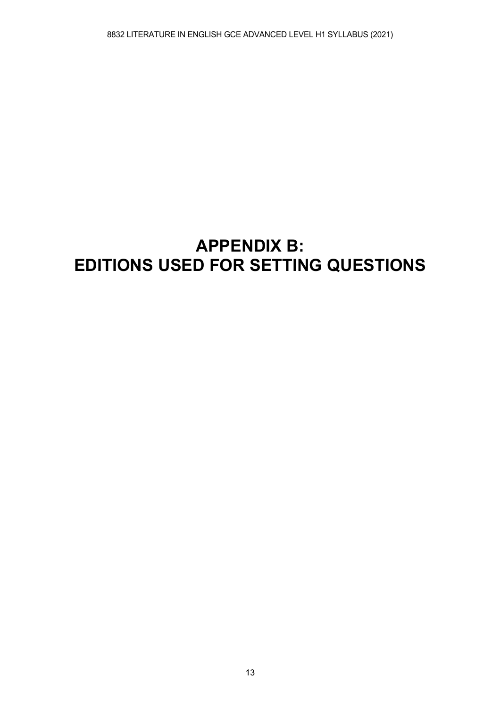## **APPENDIX B: EDITIONS USED FOR SETTING QUESTIONS**